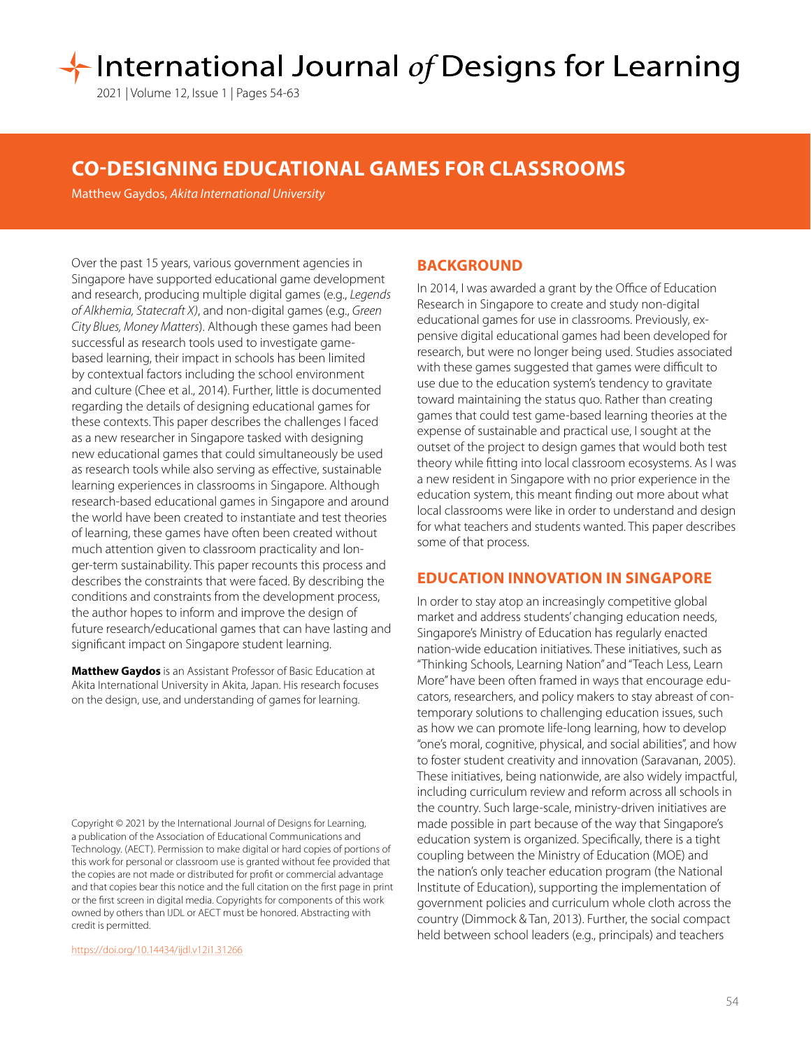# International Journal of Designs for Learning

2021 | Volume 12, Issue 1 | Pages 54-63

## **CO-DESIGNING EDUCATIONAL GAMES FOR CLASSROOMS**

Matthew Gaydos, *Akita International University*

Over the past 15 years, various government agencies in Singapore have supported educational game development and research, producing multiple digital games (e.g., *Legends of Alkhemia, Statecraft X)*, and non-digital games (e.g., *Green City Blues, Money Matters*). Although these games had been successful as research tools used to investigate gamebased learning, their impact in schools has been limited by contextual factors including the school environment and culture (Chee et al., 2014). Further, little is documented regarding the details of designing educational games for these contexts. This paper describes the challenges I faced as a new researcher in Singapore tasked with designing new educational games that could simultaneously be used as research tools while also serving as effective, sustainable learning experiences in classrooms in Singapore. Although research-based educational games in Singapore and around the world have been created to instantiate and test theories of learning, these games have often been created without much attention given to classroom practicality and longer-term sustainability. This paper recounts this process and describes the constraints that were faced. By describing the conditions and constraints from the development process, the author hopes to inform and improve the design of future research/educational games that can have lasting and significant impact on Singapore student learning.

**Matthew Gaydos** is an Assistant Professor of Basic Education at Akita International University in Akita, Japan. His research focuses on the design, use, and understanding of games for learning.

Copyright © 2021 by the International Journal of Designs for Learning, a publication of the Association of Educational Communications and Technology. (AECT). Permission to make digital or hard copies of portions of this work for personal or classroom use is granted without fee provided that the copies are not made or distributed for profit or commercial advantage and that copies bear this notice and the full citation on the first page in print or the first screen in digital media. Copyrights for components of this work owned by others than IJDL or AECT must be honored. Abstracting with credit is permitted.

[https://doi.org/](https://doi.org/10.14434/ijdl.v12i1.31266
)10.14434/ijdl.v12i1.31266

## **BACKGROUND**

In 2014, I was awarded a grant by the Office of Education Research in Singapore to create and study non-digital educational games for use in classrooms. Previously, expensive digital educational games had been developed for research, but were no longer being used. Studies associated with these games suggested that games were difficult to use due to the education system's tendency to gravitate toward maintaining the status quo. Rather than creating games that could test game-based learning theories at the expense of sustainable and practical use, I sought at the outset of the project to design games that would both test theory while fitting into local classroom ecosystems. As I was a new resident in Singapore with no prior experience in the education system, this meant finding out more about what local classrooms were like in order to understand and design for what teachers and students wanted. This paper describes some of that process.

#### **EDUCATION INNOVATION IN SINGAPORE**

In order to stay atop an increasingly competitive global market and address students' changing education needs, Singapore's Ministry of Education has regularly enacted nation-wide education initiatives. These initiatives, such as "Thinking Schools, Learning Nation" and "Teach Less, Learn More" have been often framed in ways that encourage educators, researchers, and policy makers to stay abreast of contemporary solutions to challenging education issues, such as how we can promote life-long learning, how to develop "one's moral, cognitive, physical, and social abilities", and how to foster student creativity and innovation (Saravanan, 2005). These initiatives, being nationwide, are also widely impactful, including curriculum review and reform across all schools in the country. Such large-scale, ministry-driven initiatives are made possible in part because of the way that Singapore's education system is organized. Specifically, there is a tight coupling between the Ministry of Education (MOE) and the nation's only teacher education program (the National Institute of Education), supporting the implementation of government policies and curriculum whole cloth across the country (Dimmock & Tan, 2013). Further, the social compact held between school leaders (e.g., principals) and teachers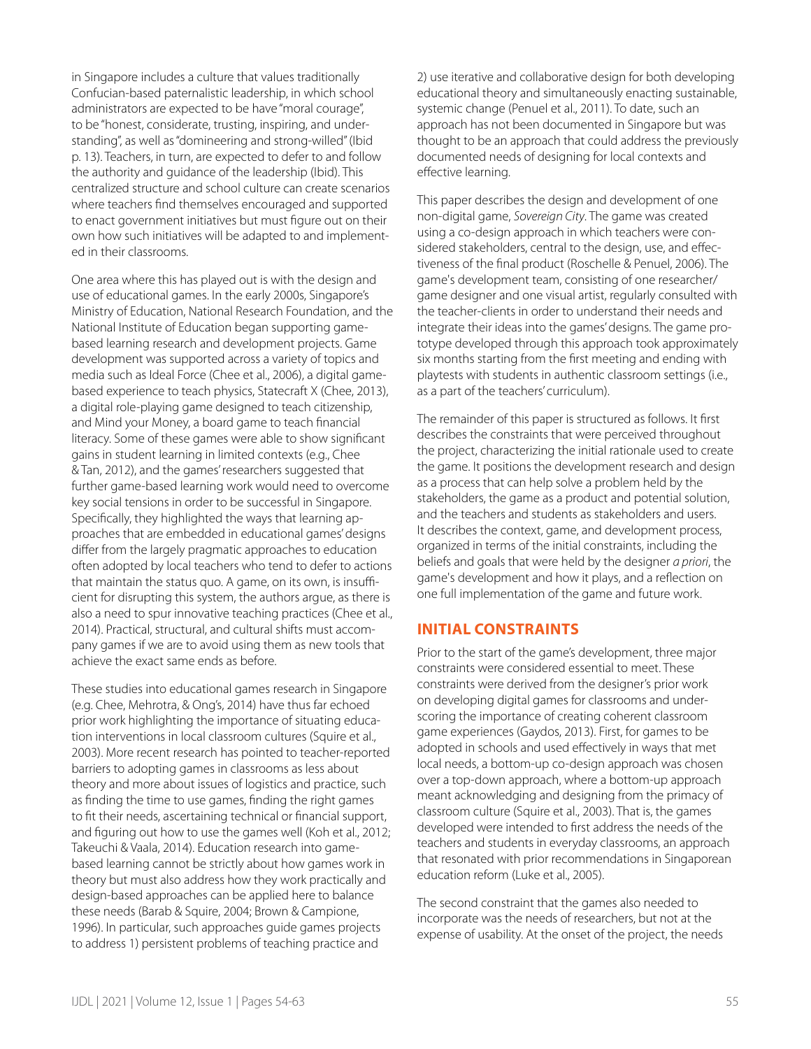in Singapore includes a culture that values traditionally Confucian-based paternalistic leadership, in which school administrators are expected to be have "moral courage", to be "honest, considerate, trusting, inspiring, and understanding", as well as "domineering and strong-willed" (Ibid p. 13). Teachers, in turn, are expected to defer to and follow the authority and guidance of the leadership (Ibid). This centralized structure and school culture can create scenarios where teachers find themselves encouraged and supported to enact government initiatives but must figure out on their own how such initiatives will be adapted to and implemented in their classrooms.

One area where this has played out is with the design and use of educational games. In the early 2000s, Singapore's Ministry of Education, National Research Foundation, and the National Institute of Education began supporting gamebased learning research and development projects. Game development was supported across a variety of topics and media such as Ideal Force (Chee et al., 2006), a digital gamebased experience to teach physics, Statecraft X (Chee, 2013), a digital role-playing game designed to teach citizenship, and Mind your Money, a board game to teach financial literacy. Some of these games were able to show significant gains in student learning in limited contexts (e.g., Chee & Tan, 2012), and the games' researchers suggested that further game-based learning work would need to overcome key social tensions in order to be successful in Singapore. Specifically, they highlighted the ways that learning approaches that are embedded in educational games' designs differ from the largely pragmatic approaches to education often adopted by local teachers who tend to defer to actions that maintain the status quo. A game, on its own, is insufficient for disrupting this system, the authors argue, as there is also a need to spur innovative teaching practices (Chee et al., 2014). Practical, structural, and cultural shifts must accompany games if we are to avoid using them as new tools that achieve the exact same ends as before.

These studies into educational games research in Singapore (e.g. Chee, Mehrotra, & Ong's, 2014) have thus far echoed prior work highlighting the importance of situating education interventions in local classroom cultures (Squire et al., 2003). More recent research has pointed to teacher-reported barriers to adopting games in classrooms as less about theory and more about issues of logistics and practice, such as finding the time to use games, finding the right games to fit their needs, ascertaining technical or financial support, and figuring out how to use the games well (Koh et al., 2012; Takeuchi & Vaala, 2014). Education research into gamebased learning cannot be strictly about how games work in theory but must also address how they work practically and design-based approaches can be applied here to balance these needs (Barab & Squire, 2004; Brown & Campione, 1996). In particular, such approaches guide games projects to address 1) persistent problems of teaching practice and

2) use iterative and collaborative design for both developing educational theory and simultaneously enacting sustainable, systemic change (Penuel et al., 2011). To date, such an approach has not been documented in Singapore but was thought to be an approach that could address the previously documented needs of designing for local contexts and effective learning.

This paper describes the design and development of one non-digital game, *Sovereign City*. The game was created using a co-design approach in which teachers were considered stakeholders, central to the design, use, and effectiveness of the final product (Roschelle & Penuel, 2006). The game's development team, consisting of one researcher/ game designer and one visual artist, regularly consulted with the teacher-clients in order to understand their needs and integrate their ideas into the games' designs. The game prototype developed through this approach took approximately six months starting from the first meeting and ending with playtests with students in authentic classroom settings (i.e., as a part of the teachers' curriculum).

The remainder of this paper is structured as follows. It first describes the constraints that were perceived throughout the project, characterizing the initial rationale used to create the game. It positions the development research and design as a process that can help solve a problem held by the stakeholders, the game as a product and potential solution, and the teachers and students as stakeholders and users. It describes the context, game, and development process, organized in terms of the initial constraints, including the beliefs and goals that were held by the designer *a priori*, the game's development and how it plays, and a reflection on one full implementation of the game and future work.

## **INITIAL CONSTRAINTS**

Prior to the start of the game's development, three major constraints were considered essential to meet. These constraints were derived from the designer's prior work on developing digital games for classrooms and underscoring the importance of creating coherent classroom game experiences (Gaydos, 2013). First, for games to be adopted in schools and used effectively in ways that met local needs, a bottom-up co-design approach was chosen over a top-down approach, where a bottom-up approach meant acknowledging and designing from the primacy of classroom culture (Squire et al., 2003). That is, the games developed were intended to first address the needs of the teachers and students in everyday classrooms, an approach that resonated with prior recommendations in Singaporean education reform (Luke et al., 2005).

The second constraint that the games also needed to incorporate was the needs of researchers, but not at the expense of usability. At the onset of the project, the needs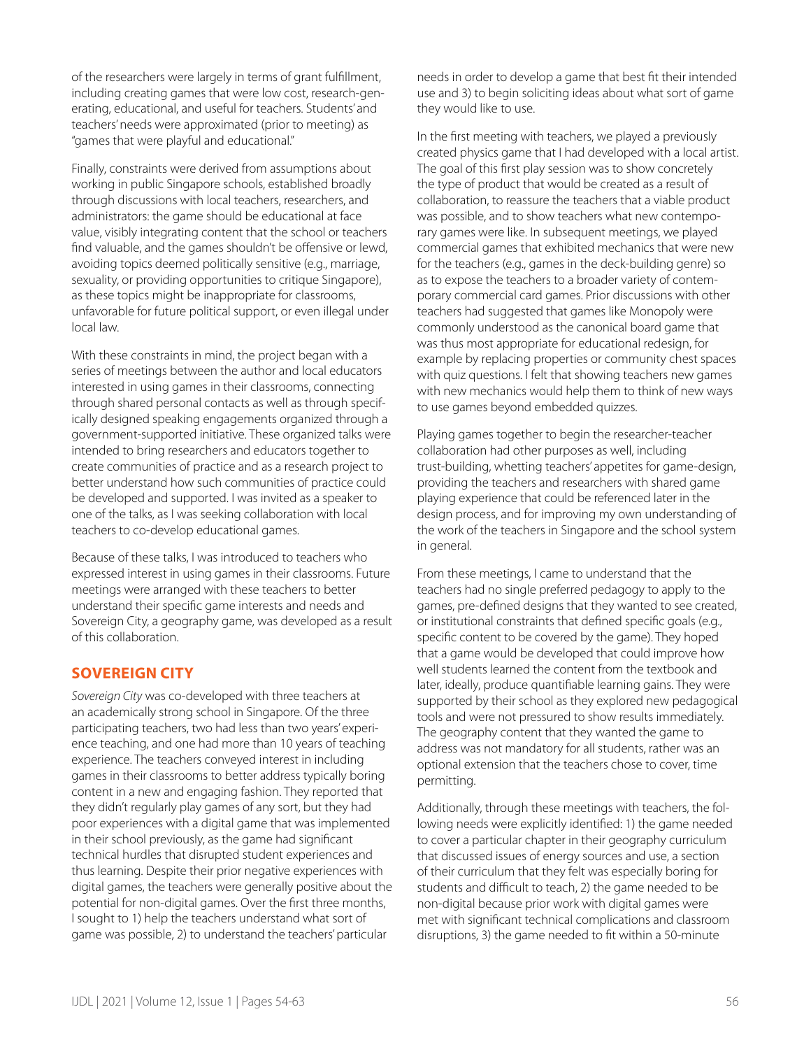of the researchers were largely in terms of grant fulfillment, including creating games that were low cost, research-generating, educational, and useful for teachers. Students' and teachers' needs were approximated (prior to meeting) as "games that were playful and educational."

Finally, constraints were derived from assumptions about working in public Singapore schools, established broadly through discussions with local teachers, researchers, and administrators: the game should be educational at face value, visibly integrating content that the school or teachers find valuable, and the games shouldn't be offensive or lewd, avoiding topics deemed politically sensitive (e.g., marriage, sexuality, or providing opportunities to critique Singapore). as these topics might be inappropriate for classrooms, unfavorable for future political support, or even illegal under local law.

With these constraints in mind, the project began with a series of meetings between the author and local educators interested in using games in their classrooms, connecting through shared personal contacts as well as through specifically designed speaking engagements organized through a government-supported initiative. These organized talks were intended to bring researchers and educators together to create communities of practice and as a research project to better understand how such communities of practice could be developed and supported. I was invited as a speaker to one of the talks, as I was seeking collaboration with local teachers to co-develop educational games.

Because of these talks, I was introduced to teachers who expressed interest in using games in their classrooms. Future meetings were arranged with these teachers to better understand their specific game interests and needs and Sovereign City, a geography game, was developed as a result of this collaboration.

## **SOVEREIGN CITY**

*Sovereign City* was co-developed with three teachers at an academically strong school in Singapore. Of the three participating teachers, two had less than two years' experience teaching, and one had more than 10 years of teaching experience. The teachers conveyed interest in including games in their classrooms to better address typically boring content in a new and engaging fashion. They reported that they didn't regularly play games of any sort, but they had poor experiences with a digital game that was implemented in their school previously, as the game had significant technical hurdles that disrupted student experiences and thus learning. Despite their prior negative experiences with digital games, the teachers were generally positive about the potential for non-digital games. Over the first three months, I sought to 1) help the teachers understand what sort of game was possible, 2) to understand the teachers' particular

needs in order to develop a game that best fit their intended use and 3) to begin soliciting ideas about what sort of game they would like to use.

In the first meeting with teachers, we played a previously created physics game that I had developed with a local artist. The goal of this first play session was to show concretely the type of product that would be created as a result of collaboration, to reassure the teachers that a viable product was possible, and to show teachers what new contemporary games were like. In subsequent meetings, we played commercial games that exhibited mechanics that were new for the teachers (e.g., games in the deck-building genre) so as to expose the teachers to a broader variety of contemporary commercial card games. Prior discussions with other teachers had suggested that games like Monopoly were commonly understood as the canonical board game that was thus most appropriate for educational redesign, for example by replacing properties or community chest spaces with quiz questions. I felt that showing teachers new games with new mechanics would help them to think of new ways to use games beyond embedded quizzes.

Playing games together to begin the researcher-teacher collaboration had other purposes as well, including trust-building, whetting teachers' appetites for game-design, providing the teachers and researchers with shared game playing experience that could be referenced later in the design process, and for improving my own understanding of the work of the teachers in Singapore and the school system in general.

From these meetings, I came to understand that the teachers had no single preferred pedagogy to apply to the games, pre-defined designs that they wanted to see created, or institutional constraints that defined specific goals (e.g., specific content to be covered by the game). They hoped that a game would be developed that could improve how well students learned the content from the textbook and later, ideally, produce quantifiable learning gains. They were supported by their school as they explored new pedagogical tools and were not pressured to show results immediately. The geography content that they wanted the game to address was not mandatory for all students, rather was an optional extension that the teachers chose to cover, time permitting.

Additionally, through these meetings with teachers, the following needs were explicitly identified: 1) the game needed to cover a particular chapter in their geography curriculum that discussed issues of energy sources and use, a section of their curriculum that they felt was especially boring for students and difficult to teach, 2) the game needed to be non-digital because prior work with digital games were met with significant technical complications and classroom disruptions, 3) the game needed to fit within a 50-minute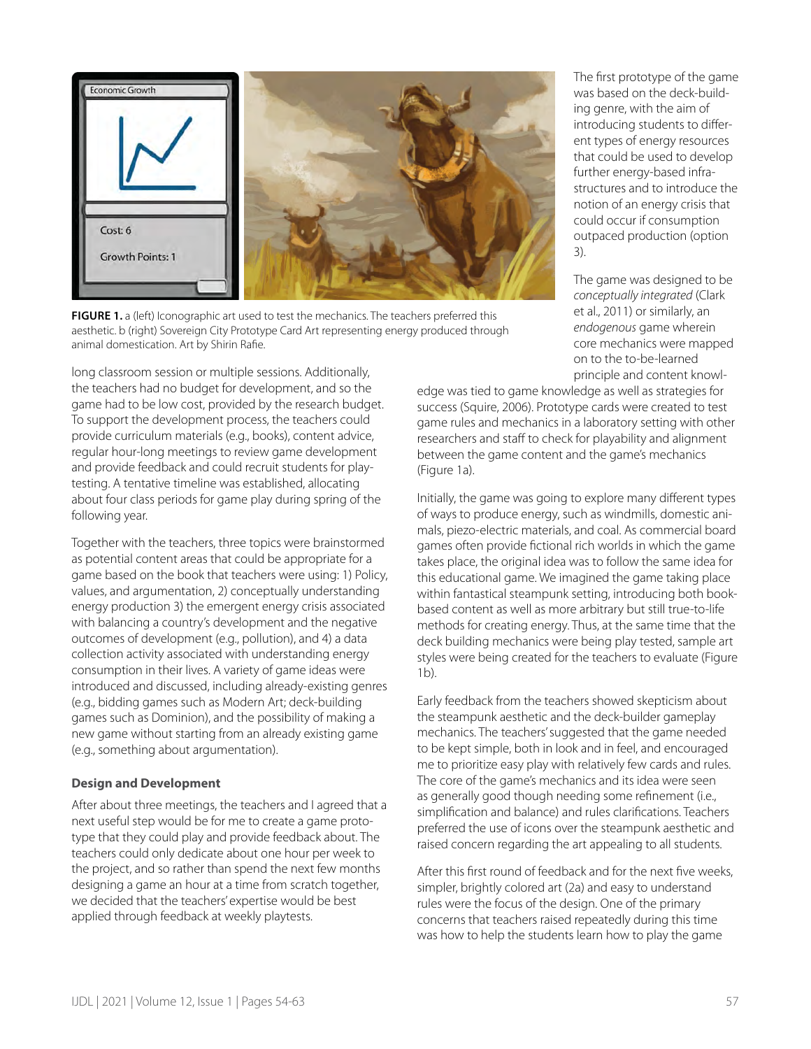

**FIGURE 1.** a (left) Iconographic art used to test the mechanics. The teachers preferred this aesthetic. b (right) Sovereign City Prototype Card Art representing energy produced through animal domestication. Art by Shirin Rafie.

long classroom session or multiple sessions. Additionally, the teachers had no budget for development, and so the game had to be low cost, provided by the research budget. To support the development process, the teachers could provide curriculum materials (e.g., books), content advice, regular hour-long meetings to review game development and provide feedback and could recruit students for playtesting. A tentative timeline was established, allocating about four class periods for game play during spring of the following year.

Together with the teachers, three topics were brainstormed as potential content areas that could be appropriate for a game based on the book that teachers were using: 1) Policy, values, and argumentation, 2) conceptually understanding energy production 3) the emergent energy crisis associated with balancing a country's development and the negative outcomes of development (e.g., pollution), and 4) a data collection activity associated with understanding energy consumption in their lives. A variety of game ideas were introduced and discussed, including already-existing genres (e.g., bidding games such as Modern Art; deck-building games such as Dominion), and the possibility of making a new game without starting from an already existing game (e.g., something about argumentation).

#### **Design and Development**

After about three meetings, the teachers and I agreed that a next useful step would be for me to create a game prototype that they could play and provide feedback about. The teachers could only dedicate about one hour per week to the project, and so rather than spend the next few months designing a game an hour at a time from scratch together, we decided that the teachers' expertise would be best applied through feedback at weekly playtests.

The first prototype of the game was based on the deck-building genre, with the aim of introducing students to different types of energy resources that could be used to develop further energy-based infrastructures and to introduce the notion of an energy crisis that could occur if consumption outpaced production (option 3).

The game was designed to be *conceptually integrated* (Clark et al., 2011) or similarly, an *endogenous* game wherein core mechanics were mapped on to the to-be-learned principle and content knowl-

edge was tied to game knowledge as well as strategies for success (Squire, 2006). Prototype cards were created to test game rules and mechanics in a laboratory setting with other researchers and staff to check for playability and alignment between the game content and the game's mechanics (Figure 1a).

Initially, the game was going to explore many different types of ways to produce energy, such as windmills, domestic animals, piezo-electric materials, and coal. As commercial board games often provide fictional rich worlds in which the game takes place, the original idea was to follow the same idea for this educational game. We imagined the game taking place within fantastical steampunk setting, introducing both bookbased content as well as more arbitrary but still true-to-life methods for creating energy. Thus, at the same time that the deck building mechanics were being play tested, sample art styles were being created for the teachers to evaluate (Figure 1b).

Early feedback from the teachers showed skepticism about the steampunk aesthetic and the deck-builder gameplay mechanics. The teachers' suggested that the game needed to be kept simple, both in look and in feel, and encouraged me to prioritize easy play with relatively few cards and rules. The core of the game's mechanics and its idea were seen as generally good though needing some refinement (i.e., simplification and balance) and rules clarifications. Teachers preferred the use of icons over the steampunk aesthetic and raised concern regarding the art appealing to all students.

After this first round of feedback and for the next five weeks, simpler, brightly colored art (2a) and easy to understand rules were the focus of the design. One of the primary concerns that teachers raised repeatedly during this time was how to help the students learn how to play the game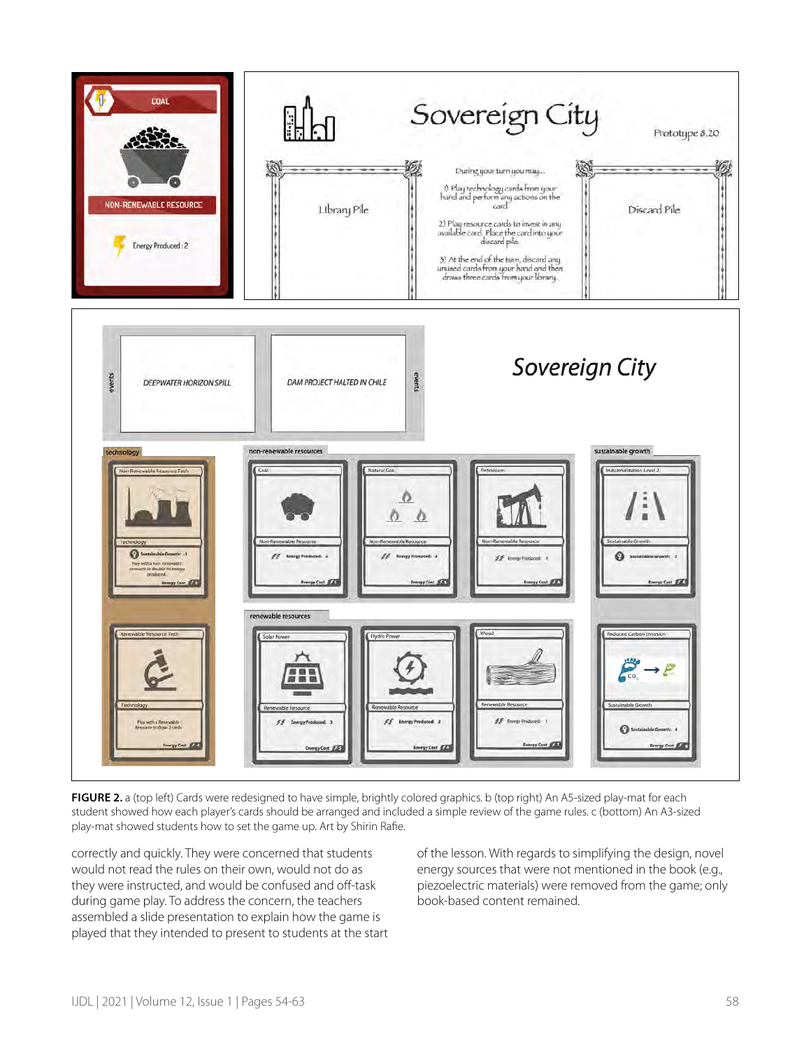

FIGURE 2. a (top left) Cards were redesigned to have simple, brightly colored graphics. b (top right) An A5-sized play-mat for each student showed how each player's cards should be arranged and included a simple review of the game rules. c (bottom) An A3-sized play-mat showed students how to set the game up. Art by Shirin Rafie.

correctly and quickly. They were concerned that students would not read the rules on their own, would not do as they were instructed, and would be confused and off-task during game play. To address the concern, the teachers assembled a slide presentation to explain how the game is played that they intended to present to students at the start of the lesson. With regards to simplifying the design, novel energy sources that were not mentioned in the book (e.g., piezoelectric materials) were removed from the game; only book-based content remained.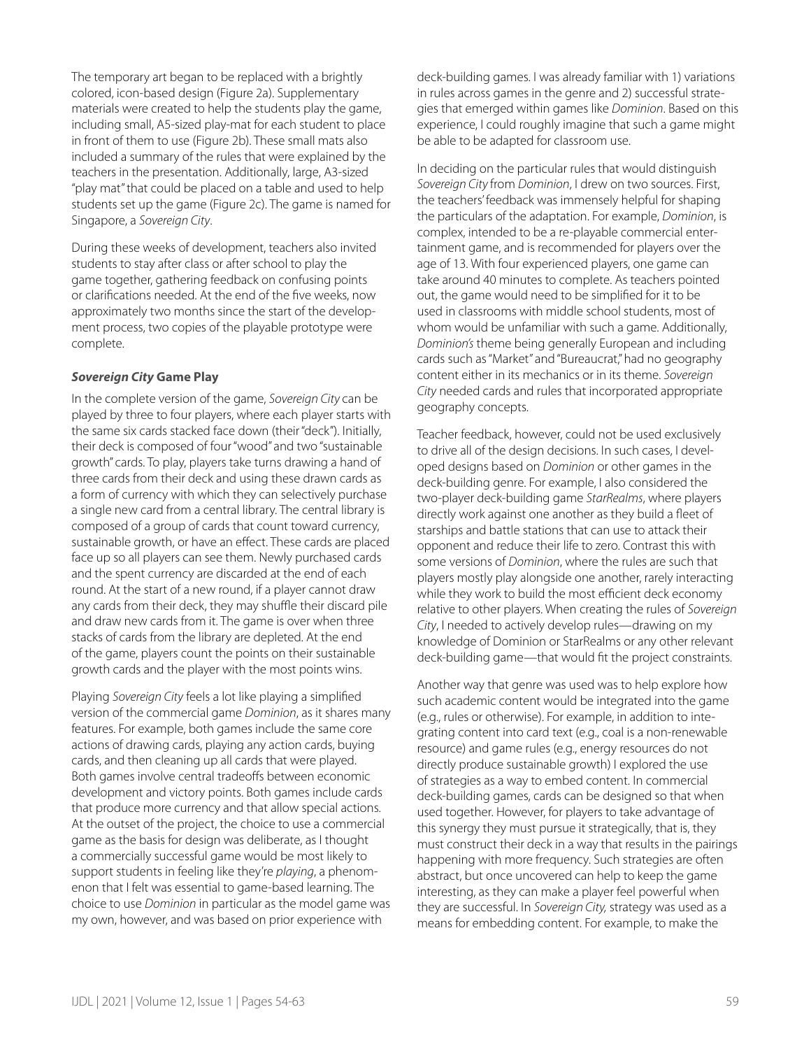The temporary art began to be replaced with a brightly colored, icon-based design (Figure 2a). Supplementary materials were created to help the students play the game, including small, A5-sized play-mat for each student to place in front of them to use (Figure 2b). These small mats also included a summary of the rules that were explained by the teachers in the presentation. Additionally, large, A3-sized "play mat" that could be placed on a table and used to help students set up the game (Figure 2c). The game is named for Singapore, a *Sovereign City*.

During these weeks of development, teachers also invited students to stay after class or after school to play the game together, gathering feedback on confusing points or clarifications needed. At the end of the five weeks, now approximately two months since the start of the development process, two copies of the playable prototype were complete.

#### *Sovereign City* **Game Play**

In the complete version of the game, *Sovereign City* can be played by three to four players, where each player starts with the same six cards stacked face down (their "deck"). Initially, their deck is composed of four "wood" and two "sustainable growth" cards. To play, players take turns drawing a hand of three cards from their deck and using these drawn cards as a form of currency with which they can selectively purchase a single new card from a central library. The central library is composed of a group of cards that count toward currency, sustainable growth, or have an effect. These cards are placed face up so all players can see them. Newly purchased cards and the spent currency are discarded at the end of each round. At the start of a new round, if a player cannot draw any cards from their deck, they may shuffle their discard pile and draw new cards from it. The game is over when three stacks of cards from the library are depleted. At the end of the game, players count the points on their sustainable growth cards and the player with the most points wins.

Playing *Sovereign City* feels a lot like playing a simplified version of the commercial game *Dominion*, as it shares many features. For example, both games include the same core actions of drawing cards, playing any action cards, buying cards, and then cleaning up all cards that were played. Both games involve central tradeoffs between economic development and victory points. Both games include cards that produce more currency and that allow special actions. At the outset of the project, the choice to use a commercial game as the basis for design was deliberate, as I thought a commercially successful game would be most likely to support students in feeling like they're *playing*, a phenomenon that I felt was essential to game-based learning. The choice to use *Dominion* in particular as the model game was my own, however, and was based on prior experience with

deck-building games. I was already familiar with 1) variations in rules across games in the genre and 2) successful strategies that emerged within games like *Dominion*. Based on this experience, I could roughly imagine that such a game might be able to be adapted for classroom use.

In deciding on the particular rules that would distinguish *Sovereign City* from *Dominion*, I drew on two sources. First, the teachers' feedback was immensely helpful for shaping the particulars of the adaptation. For example, *Dominion*, is complex, intended to be a re-playable commercial entertainment game, and is recommended for players over the age of 13. With four experienced players, one game can take around 40 minutes to complete. As teachers pointed out, the game would need to be simplified for it to be used in classrooms with middle school students, most of whom would be unfamiliar with such a game. Additionally, *Dominion's* theme being generally European and including cards such as "Market" and "Bureaucrat," had no geography content either in its mechanics or in its theme. *Sovereign City* needed cards and rules that incorporated appropriate geography concepts.

Teacher feedback, however, could not be used exclusively to drive all of the design decisions. In such cases, I developed designs based on *Dominion* or other games in the deck-building genre. For example, I also considered the two-player deck-building game *StarRealms*, where players directly work against one another as they build a fleet of starships and battle stations that can use to attack their opponent and reduce their life to zero. Contrast this with some versions of *Dominion*, where the rules are such that players mostly play alongside one another, rarely interacting while they work to build the most efficient deck economy relative to other players. When creating the rules of *Sovereign City*, I needed to actively develop rules—drawing on my knowledge of Dominion or StarRealms or any other relevant deck-building game—that would fit the project constraints.

Another way that genre was used was to help explore how such academic content would be integrated into the game (e.g., rules or otherwise). For example, in addition to integrating content into card text (e.g., coal is a non-renewable resource) and game rules (e.g., energy resources do not directly produce sustainable growth) I explored the use of strategies as a way to embed content. In commercial deck-building games, cards can be designed so that when used together. However, for players to take advantage of this synergy they must pursue it strategically, that is, they must construct their deck in a way that results in the pairings happening with more frequency. Such strategies are often abstract, but once uncovered can help to keep the game interesting, as they can make a player feel powerful when they are successful. In *Sovereign City,* strategy was used as a means for embedding content. For example, to make the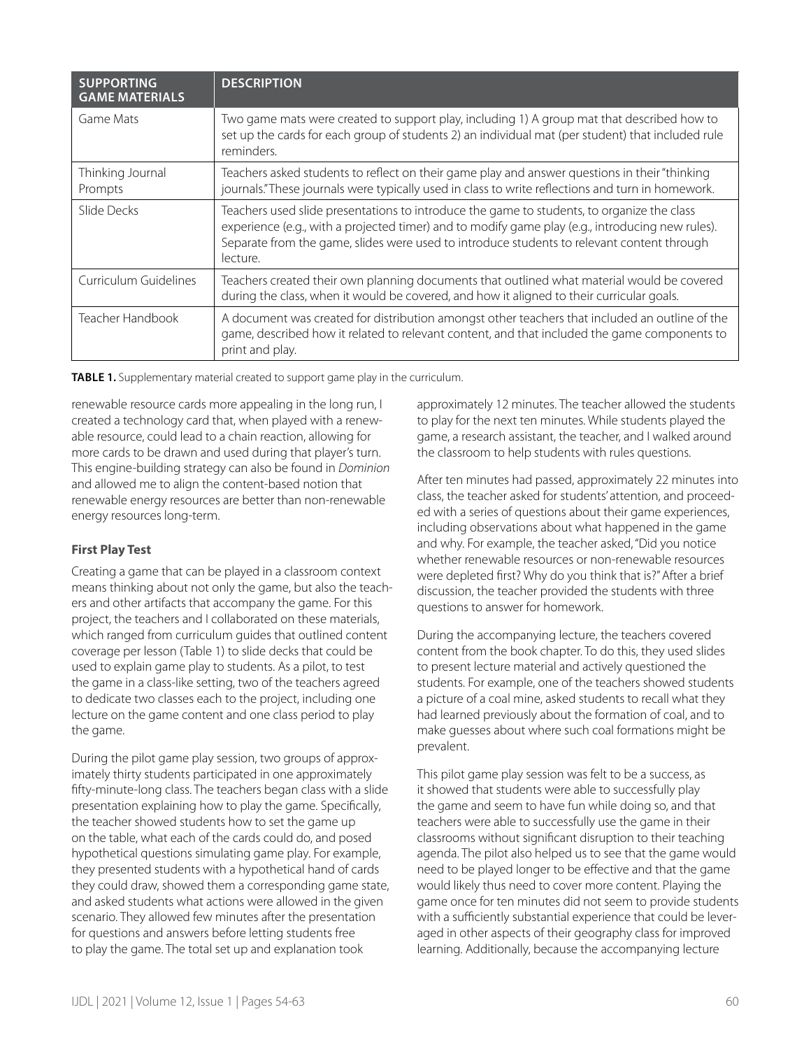| <b>SUPPORTING</b><br><b>GAME MATERIALS</b> | <b>DESCRIPTION</b>                                                                                                                                                                                                                                                                                       |
|--------------------------------------------|----------------------------------------------------------------------------------------------------------------------------------------------------------------------------------------------------------------------------------------------------------------------------------------------------------|
| Game Mats                                  | Two game mats were created to support play, including 1) A group mat that described how to<br>set up the cards for each group of students 2) an individual mat (per student) that included rule<br>reminders.                                                                                            |
| Thinking Journal<br>Prompts                | Teachers asked students to reflect on their game play and answer questions in their "thinking<br>journals."These journals were typically used in class to write reflections and turn in homework.                                                                                                        |
| Slide Decks                                | Teachers used slide presentations to introduce the game to students, to organize the class<br>experience (e.g., with a projected timer) and to modify game play (e.g., introducing new rules).<br>Separate from the game, slides were used to introduce students to relevant content through<br>lecture. |
| Curriculum Guidelines                      | Teachers created their own planning documents that outlined what material would be covered<br>during the class, when it would be covered, and how it aligned to their curricular goals.                                                                                                                  |
| Teacher Handbook                           | A document was created for distribution amongst other teachers that included an outline of the<br>game, described how it related to relevant content, and that included the game components to<br>print and play.                                                                                        |

**TABLE 1.** Supplementary material created to support game play in the curriculum.

renewable resource cards more appealing in the long run, I created a technology card that, when played with a renewable resource, could lead to a chain reaction, allowing for more cards to be drawn and used during that player's turn. This engine-building strategy can also be found in *Dominion* and allowed me to align the content-based notion that renewable energy resources are better than non-renewable energy resources long-term.

## **First Play Test**

Creating a game that can be played in a classroom context means thinking about not only the game, but also the teachers and other artifacts that accompany the game. For this project, the teachers and I collaborated on these materials, which ranged from curriculum guides that outlined content coverage per lesson (Table 1) to slide decks that could be used to explain game play to students. As a pilot, to test the game in a class-like setting, two of the teachers agreed to dedicate two classes each to the project, including one lecture on the game content and one class period to play the game.

During the pilot game play session, two groups of approximately thirty students participated in one approximately fifty-minute-long class. The teachers began class with a slide presentation explaining how to play the game. Specifically, the teacher showed students how to set the game up on the table, what each of the cards could do, and posed hypothetical questions simulating game play. For example, they presented students with a hypothetical hand of cards they could draw, showed them a corresponding game state, and asked students what actions were allowed in the given scenario. They allowed few minutes after the presentation for questions and answers before letting students free to play the game. The total set up and explanation took

approximately 12 minutes. The teacher allowed the students to play for the next ten minutes. While students played the game, a research assistant, the teacher, and I walked around the classroom to help students with rules questions.

After ten minutes had passed, approximately 22 minutes into class, the teacher asked for students' attention, and proceeded with a series of questions about their game experiences, including observations about what happened in the game and why. For example, the teacher asked, "Did you notice whether renewable resources or non-renewable resources were depleted first? Why do you think that is?" After a brief discussion, the teacher provided the students with three questions to answer for homework.

During the accompanying lecture, the teachers covered content from the book chapter. To do this, they used slides to present lecture material and actively questioned the students. For example, one of the teachers showed students a picture of a coal mine, asked students to recall what they had learned previously about the formation of coal, and to make guesses about where such coal formations might be prevalent.

This pilot game play session was felt to be a success, as it showed that students were able to successfully play the game and seem to have fun while doing so, and that teachers were able to successfully use the game in their classrooms without significant disruption to their teaching agenda. The pilot also helped us to see that the game would need to be played longer to be effective and that the game would likely thus need to cover more content. Playing the game once for ten minutes did not seem to provide students with a sufficiently substantial experience that could be leveraged in other aspects of their geography class for improved learning. Additionally, because the accompanying lecture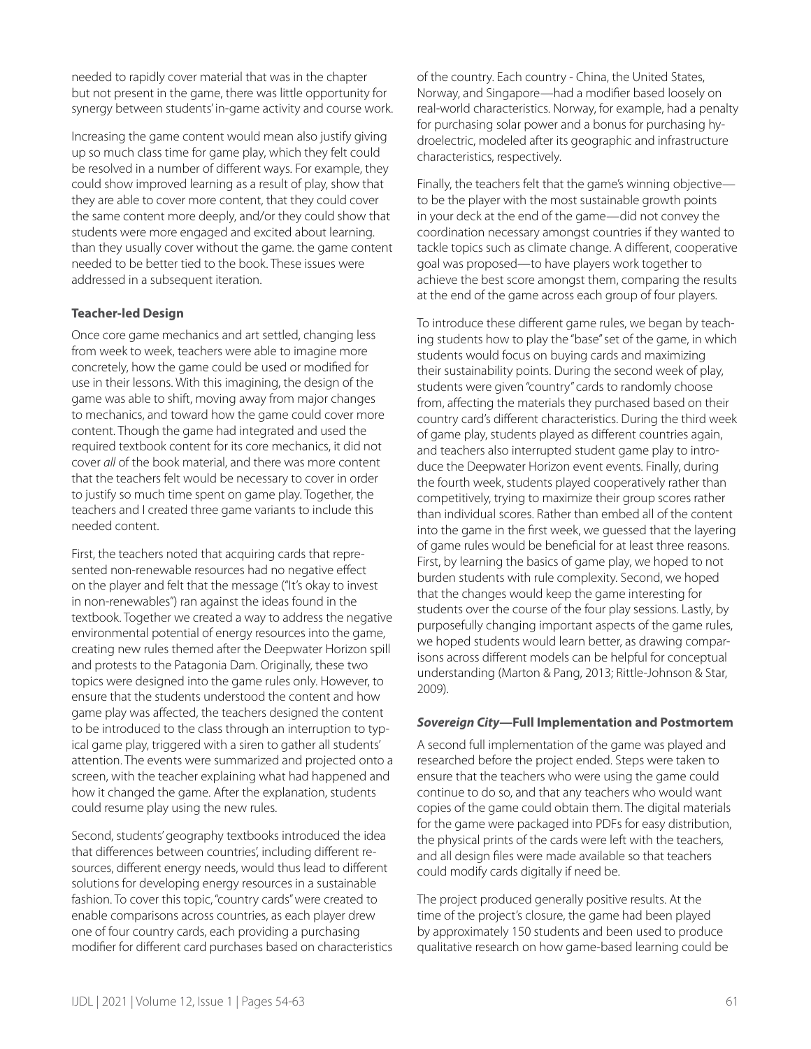needed to rapidly cover material that was in the chapter but not present in the game, there was little opportunity for synergy between students' in-game activity and course work.

Increasing the game content would mean also justify giving up so much class time for game play, which they felt could be resolved in a number of different ways. For example, they could show improved learning as a result of play, show that they are able to cover more content, that they could cover the same content more deeply, and/or they could show that students were more engaged and excited about learning. than they usually cover without the game. the game content needed to be better tied to the book. These issues were addressed in a subsequent iteration.

## **Teacher-led Design**

Once core game mechanics and art settled, changing less from week to week, teachers were able to imagine more concretely, how the game could be used or modified for use in their lessons. With this imagining, the design of the game was able to shift, moving away from major changes to mechanics, and toward how the game could cover more content. Though the game had integrated and used the required textbook content for its core mechanics, it did not cover *all* of the book material, and there was more content that the teachers felt would be necessary to cover in order to justify so much time spent on game play. Together, the teachers and I created three game variants to include this needed content.

First, the teachers noted that acquiring cards that represented non-renewable resources had no negative effect on the player and felt that the message ("It's okay to invest in non-renewables") ran against the ideas found in the textbook. Together we created a way to address the negative environmental potential of energy resources into the game, creating new rules themed after the Deepwater Horizon spill and protests to the Patagonia Dam. Originally, these two topics were designed into the game rules only. However, to ensure that the students understood the content and how game play was affected, the teachers designed the content to be introduced to the class through an interruption to typical game play, triggered with a siren to gather all students' attention. The events were summarized and projected onto a screen, with the teacher explaining what had happened and how it changed the game. After the explanation, students could resume play using the new rules.

Second, students' geography textbooks introduced the idea that differences between countries', including different resources, different energy needs, would thus lead to different solutions for developing energy resources in a sustainable fashion. To cover this topic, "country cards" were created to enable comparisons across countries, as each player drew one of four country cards, each providing a purchasing modifier for different card purchases based on characteristics of the country. Each country - China, the United States, Norway, and Singapore—had a modifier based loosely on real-world characteristics. Norway, for example, had a penalty for purchasing solar power and a bonus for purchasing hydroelectric, modeled after its geographic and infrastructure characteristics, respectively.

Finally, the teachers felt that the game's winning objective to be the player with the most sustainable growth points in your deck at the end of the game—did not convey the coordination necessary amongst countries if they wanted to tackle topics such as climate change. A different, cooperative goal was proposed—to have players work together to achieve the best score amongst them, comparing the results at the end of the game across each group of four players.

To introduce these different game rules, we began by teaching students how to play the "base" set of the game, in which students would focus on buying cards and maximizing their sustainability points. During the second week of play, students were given "country" cards to randomly choose from, affecting the materials they purchased based on their country card's different characteristics. During the third week of game play, students played as different countries again, and teachers also interrupted student game play to introduce the Deepwater Horizon event events. Finally, during the fourth week, students played cooperatively rather than competitively, trying to maximize their group scores rather than individual scores. Rather than embed all of the content into the game in the first week, we guessed that the layering of game rules would be beneficial for at least three reasons. First, by learning the basics of game play, we hoped to not burden students with rule complexity. Second, we hoped that the changes would keep the game interesting for students over the course of the four play sessions. Lastly, by purposefully changing important aspects of the game rules, we hoped students would learn better, as drawing comparisons across different models can be helpful for conceptual understanding (Marton & Pang, 2013; Rittle-Johnson & Star, 2009).

#### *Sovereign City***—Full Implementation and Postmortem**

A second full implementation of the game was played and researched before the project ended. Steps were taken to ensure that the teachers who were using the game could continue to do so, and that any teachers who would want copies of the game could obtain them. The digital materials for the game were packaged into PDFs for easy distribution, the physical prints of the cards were left with the teachers, and all design files were made available so that teachers could modify cards digitally if need be.

The project produced generally positive results. At the time of the project's closure, the game had been played by approximately 150 students and been used to produce qualitative research on how game-based learning could be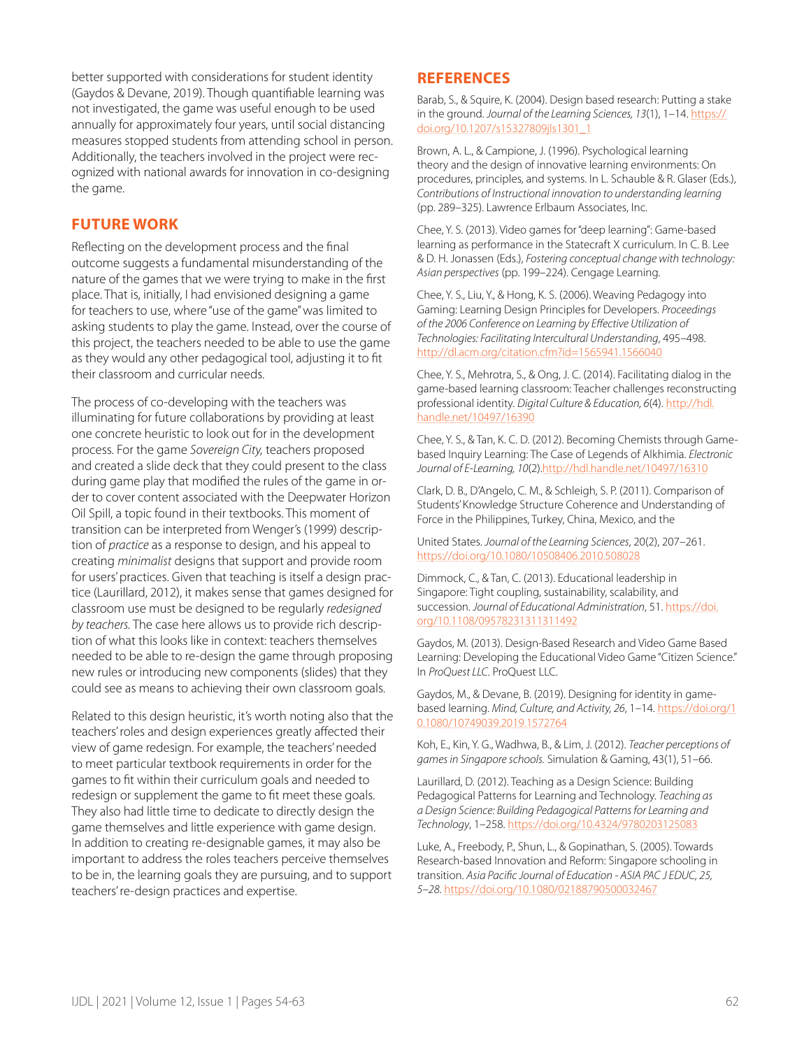better supported with considerations for student identity (Gaydos & Devane, 2019). Though quantifiable learning was not investigated, the game was useful enough to be used annually for approximately four years, until social distancing measures stopped students from attending school in person. Additionally, the teachers involved in the project were recognized with national awards for innovation in co-designing the game.

## **FUTURE WORK**

Reflecting on the development process and the final outcome suggests a fundamental misunderstanding of the nature of the games that we were trying to make in the first place. That is, initially, I had envisioned designing a game for teachers to use, where "use of the game" was limited to asking students to play the game. Instead, over the course of this project, the teachers needed to be able to use the game as they would any other pedagogical tool, adjusting it to fit their classroom and curricular needs.

The process of co-developing with the teachers was illuminating for future collaborations by providing at least one concrete heuristic to look out for in the development process. For the game *Sovereign City,* teachers proposed and created a slide deck that they could present to the class during game play that modified the rules of the game in order to cover content associated with the Deepwater Horizon Oil Spill, a topic found in their textbooks. This moment of transition can be interpreted from Wenger's (1999) description of *practice* as a response to design, and his appeal to creating *minimalist* designs that support and provide room for users' practices. Given that teaching is itself a design practice (Laurillard, 2012), it makes sense that games designed for classroom use must be designed to be regularly *redesigned by teachers.* The case here allows us to provide rich description of what this looks like in context: teachers themselves needed to be able to re-design the game through proposing new rules or introducing new components (slides) that they could see as means to achieving their own classroom goals.

Related to this design heuristic, it's worth noting also that the teachers' roles and design experiences greatly affected their view of game redesign. For example, the teachers' needed to meet particular textbook requirements in order for the games to fit within their curriculum goals and needed to redesign or supplement the game to fit meet these goals. They also had little time to dedicate to directly design the game themselves and little experience with game design. In addition to creating re-designable games, it may also be important to address the roles teachers perceive themselves to be in, the learning goals they are pursuing, and to support teachers' re-design practices and expertise.

## **REFERENCES**

Barab, S., & Squire, K. (2004). Design based research: Putting a stake in the ground. *Journal of the Learning Sciences, 13*(1), 1–14. [https://](https://doi.org/10.1207/s15327809jls1301_1) [doi.org/10.1207/s15327809jls1301\\_1](https://doi.org/10.1207/s15327809jls1301_1)

Brown, A. L., & Campione, J. (1996). Psychological learning theory and the design of innovative learning environments: On procedures, principles, and systems. In L. Schauble & R. Glaser (Eds.), *Contributions of Instructional innovation to understanding learning* (pp. 289–325). Lawrence Erlbaum Associates, Inc.

Chee, Y. S. (2013). Video games for "deep learning": Game-based learning as performance in the Statecraft X curriculum. In C. B. Lee & D. H. Jonassen (Eds.), *Fostering conceptual change with technology: Asian perspectives* (pp. 199–224). Cengage Learning.

Chee, Y. S., Liu, Y., & Hong, K. S. (2006). Weaving Pedagogy into Gaming: Learning Design Principles for Developers. *Proceedings of the 2006 Conference on Learning by Effective Utilization of Technologies: Facilitating Intercultural Understanding*, 495–498. <http://dl.acm.org/citation.cfm?id=1565941.1566040>

Chee, Y. S., Mehrotra, S., & Ong, J. C. (2014). Facilitating dialog in the game-based learning classroom: Teacher challenges reconstructing professional identity. *Digital Culture & Education, 6*(4). [http://hdl.](http://hdl.handle.net/10497/16390) [handle.net/10497/16390](http://hdl.handle.net/10497/16390)

Chee, Y. S., & Tan, K. C. D. (2012). Becoming Chemists through Gamebased Inquiry Learning: The Case of Legends of Alkhimia. *Electronic Journal of E-Learning, 10*(2).<http://hdl.handle.net/10497/16310>

Clark, D. B., D'Angelo, C. M., & Schleigh, S. P. (2011). Comparison of Students' Knowledge Structure Coherence and Understanding of Force in the Philippines, Turkey, China, Mexico, and the

United States. *Journal of the Learning Sciences*, 20(2), 207–261. <https://doi.org/10.1080/10508406.2010.508028>

Dimmock, C., & Tan, C. (2013). Educational leadership in Singapore: Tight coupling, sustainability, scalability, and succession. *Journal of Educational Administration*, 51. [https://doi.](https://doi.org/10.1108/09578231311311492) [org/10.1108/09578231311311492](https://doi.org/10.1108/09578231311311492)

Gaydos, M. (2013). Design-Based Research and Video Game Based Learning: Developing the Educational Video Game "Citizen Science." In *ProQuest LLC*. ProQuest LLC.

Gaydos, M., & Devane, B. (2019). Designing for identity in gamebased learning. *Mind, Culture, and Activity, 26*, 1–14. [https://doi.org/1](https://doi.org/10.1080/10749039.2019.1572764) [0.1080/10749039.2019.1572764](https://doi.org/10.1080/10749039.2019.1572764)

Koh, E., Kin, Y. G., Wadhwa, B., & Lim, J. (2012). *Teacher perceptions of games in Singapore schools.* Simulation & Gaming, 43(1), 51–66.

Laurillard, D. (2012). Teaching as a Design Science: Building Pedagogical Patterns for Learning and Technology. *Teaching as a Design Science: Building Pedagogical Patterns for Learning and Technology*, 1–258. <https://doi.org/10.4324/9780203125083>

Luke, A., Freebody, P., Shun, L., & Gopinathan, S. (2005). Towards Research-based Innovation and Reform: Singapore schooling in transition. *Asia Pacific Journal of Education - ASIA PAC J EDUC, 25, 5–28*. <https://doi.org/10.1080/02188790500032467>